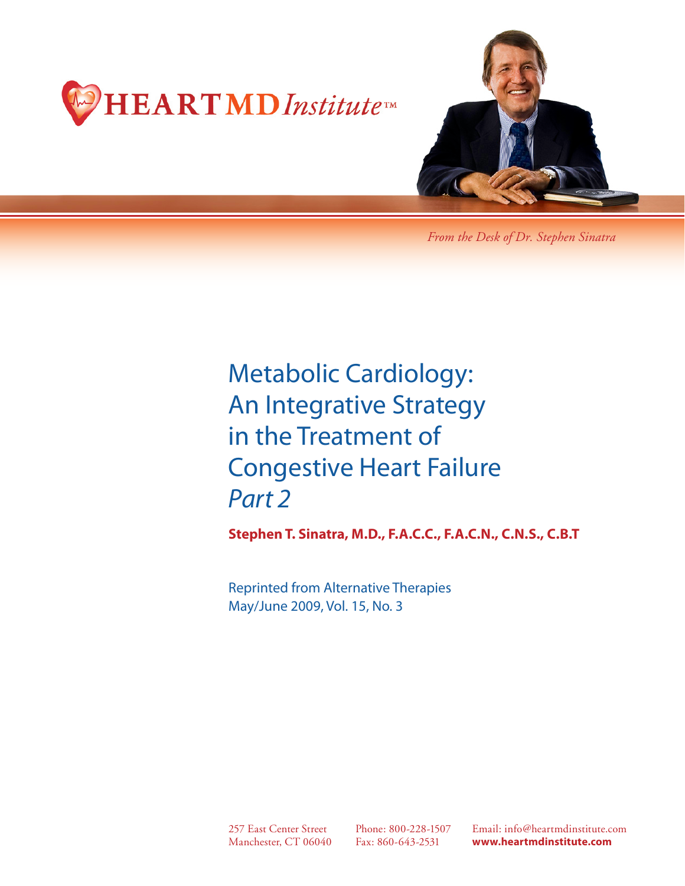



*From the Desk of Dr. Stephen Sinatra*

Metabolic Cardiology: An Integrative Strategy in the Treatment of Congestive Heart Failure *Part 2*

**Stephen T. Sinatra, M.D., F.A.C.C., F.A.C.N., C.N.S., C.B.T**

Reprinted from Alternative Therapies May/June 2009, Vol. 15, No. 3

257 East Center Street Manchester, CT 06040

Phone: 800-228-1507 Fax: 860-643-2531

Email: info@heartmdinstitute.com **www.heartmdinstitute.com**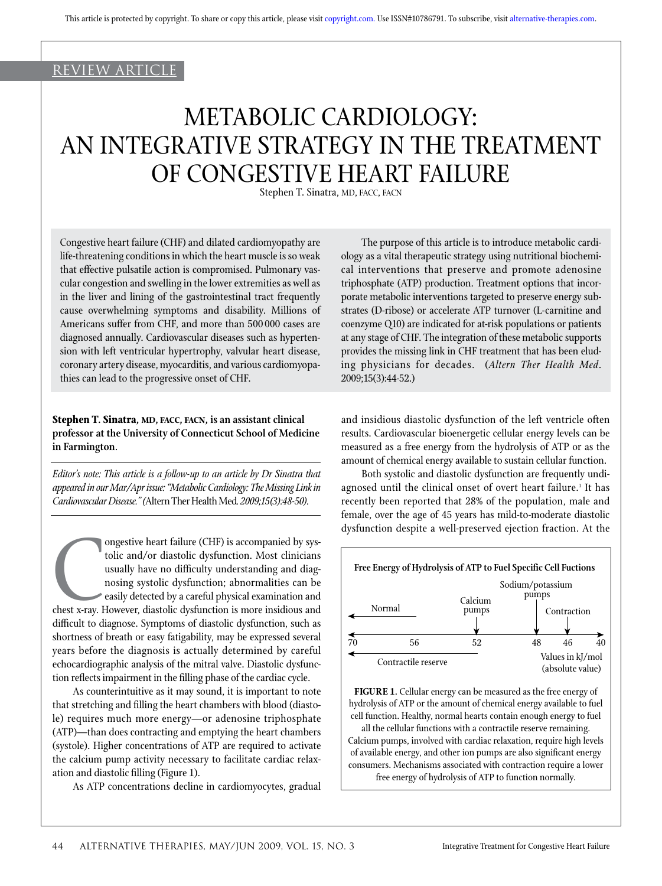# review article

# METABOLIC CARDIOLOGY: AN INTEGRATIVE STRATEGY IN THE TREATMENT OF CONGESTIVE HEART FAILURE

Stephen T. Sinatra, MD, FACC, FACN

Congestive heart failure (CHF) and dilated cardiomyopathy are life-threatening conditions in which the heart muscle is so weak that effective pulsatile action is compromised. Pulmonary vascular congestion and swelling in the lower extremities as well as in the liver and lining of the gastrointestinal tract frequently cause overwhelming symptoms and disability. Millions of Americans suffer from CHF, and more than 500 000 cases are diagnosed annually. Cardiovascular diseases such as hypertension with left ventricular hypertrophy, valvular heart disease, coronary artery disease, myocarditis, and various cardiomyopathies can lead to the progressive onset of CHF.

# **Stephen T. Sinatra, MD, FACC, FACN, is an assistant clinical professor at the University of Connecticut School of Medicine in Farmington.**

*Editor's note: This article is a follow-up to an article by Dr Sinatra that appeared in our Mar/Apr issue: "Metabolic Cardiology: The Missing Link in Cardiovascular Disease." (*Altern Ther Health Med*. 2009;15(3):48-50).*

Chest x-ray. I ongestive heart failure (CHF) is accompanied by systolic and/or diastolic dysfunction. Most clinicians usually have no difficulty understanding and diagnosing systolic dysfunction; abnormalities can be easily detected by a careful physical examination and chest x-ray. However, diastolic dysfunction is more insidious and difficult to diagnose. Symptoms of diastolic dysfunction, such as shortness of breath or easy fatigability, may be expressed several years before the diagnosis is actually determined by careful echocardiographic analysis of the mitral valve. Diastolic dysfunction reflects impairment in the filling phase of the cardiac cycle.

As counterintuitive as it may sound, it is important to note that stretching and filling the heart chambers with blood (diastole) requires much more energy—or adenosine triphosphate (ATP)—than does contracting and emptying the heart chambers (systole). Higher concentrations of ATP are required to activate the calcium pump activity necessary to facilitate cardiac relaxation and diastolic filling (Figure 1).

As ATP concentrations decline in cardiomyocytes, gradual

The purpose of this article is to introduce metabolic cardiology as a vital therapeutic strategy using nutritional biochemical interventions that preserve and promote adenosine triphosphate (ATP) production. Treatment options that incorporate metabolic interventions targeted to preserve energy substrates (D-ribose) or accelerate ATP turnover (L-carnitine and coenzyme Q10) are indicated for at-risk populations or patients at any stage of CHF. The integration of these metabolic supports provides the missing link in CHF treatment that has been eluding physicians for decades. (*Altern Ther Health Med*. 2009;15(3):44-52.)

and insidious diastolic dysfunction of the left ventricle often results. Cardiovascular bioenergetic cellular energy levels can be measured as a free energy from the hydrolysis of ATP or as the amount of chemical energy available to sustain cellular function.

Both systolic and diastolic dysfunction are frequently undiagnosed until the clinical onset of overt heart failure.<del>'</del> It has recently been reported that 28% of the population, male and female, over the age of 45 years has mild-to-moderate diastolic dysfunction despite a well-preserved ejection fraction. At the



**FIGURE 1.** Cellular energy can be measured as the free energy of hydrolysis of ATP or the amount of chemical energy available to fuel cell function. Healthy, normal hearts contain enough energy to fuel all the cellular functions with a contractile reserve remaining. Calcium pumps, involved with cardiac relaxation, require high levels of available energy, and other ion pumps are also significant energy consumers. Mechanisms associated with contraction require a lower free energy of hydrolysis of ATP to function normally.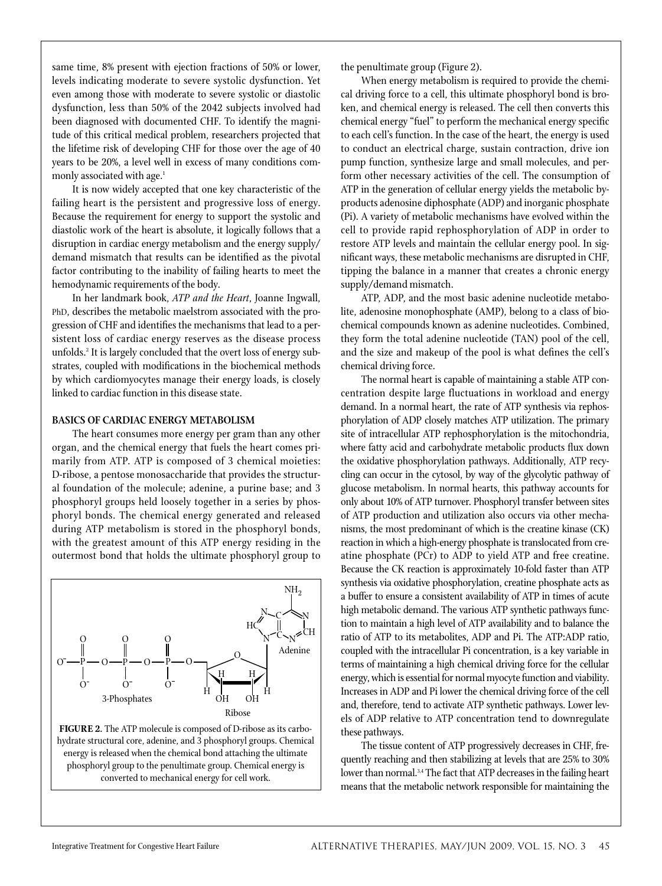same time, 8% present with ejection fractions of 50% or lower, levels indicating moderate to severe systolic dysfunction. Yet even among those with moderate to severe systolic or diastolic dysfunction, less than 50% of the 2042 subjects involved had been diagnosed with documented CHF. To identify the magnitude of this critical medical problem, researchers projected that the lifetime risk of developing CHF for those over the age of 40 years to be 20%, a level well in excess of many conditions commonly associated with age.<sup>1</sup>

It is now widely accepted that one key characteristic of the failing heart is the persistent and progressive loss of energy. Because the requirement for energy to support the systolic and diastolic work of the heart is absolute, it logically follows that a disruption in cardiac energy metabolism and the energy supply/ demand mismatch that results can be identified as the pivotal factor contributing to the inability of failing hearts to meet the hemodynamic requirements of the body.

In her landmark book, *ATP and the Heart*, Joanne Ingwall, PhD, describes the metabolic maelstrom associated with the progression of CHF and identifies the mechanisms that lead to a persistent loss of cardiac energy reserves as the disease process unfolds.2 It is largely concluded that the overt loss of energy substrates, coupled with modifications in the biochemical methods by which cardiomyocytes manage their energy loads, is closely linked to cardiac function in this disease state.

## **BASICS OF CARDIAC ENERGY METABOLISM**

The heart consumes more energy per gram than any other organ, and the chemical energy that fuels the heart comes primarily from ATP. ATP is composed of 3 chemical moieties: D-ribose, a pentose monosaccharide that provides the structural foundation of the molecule; adenine, a purine base; and 3 phosphoryl groups held loosely together in a series by phosphoryl bonds. The chemical energy generated and released during ATP metabolism is stored in the phosphoryl bonds, with the greatest amount of this ATP energy residing in the outermost bond that holds the ultimate phosphoryl group to



energy is released when the chemical bond attaching the ultimate phosphoryl group to the penultimate group. Chemical energy is converted to mechanical energy for cell work.

the penultimate group (Figure 2).

When energy metabolism is required to provide the chemical driving force to a cell, this ultimate phosphoryl bond is broken, and chemical energy is released. The cell then converts this chemical energy "fuel" to perform the mechanical energy specific to each cell's function. In the case of the heart, the energy is used to conduct an electrical charge, sustain contraction, drive ion pump function, synthesize large and small molecules, and perform other necessary activities of the cell. The consumption of ATP in the generation of cellular energy yields the metabolic byproducts adenosine diphosphate (ADP) and inorganic phosphate (Pi). A variety of metabolic mechanisms have evolved within the cell to provide rapid rephosphorylation of ADP in order to restore ATP levels and maintain the cellular energy pool. In significant ways, these metabolic mechanisms are disrupted in CHF, tipping the balance in a manner that creates a chronic energy supply/demand mismatch.

ATP, ADP, and the most basic adenine nucleotide metabolite, adenosine monophosphate (AMP), belong to a class of biochemical compounds known as adenine nucleotides. Combined, they form the total adenine nucleotide (TAN) pool of the cell, and the size and makeup of the pool is what defines the cell's chemical driving force.

The normal heart is capable of maintaining a stable ATP concentration despite large fluctuations in workload and energy demand. In a normal heart, the rate of ATP synthesis via rephosphorylation of ADP closely matches ATP utilization. The primary site of intracellular ATP rephosphorylation is the mitochondria, where fatty acid and carbohydrate metabolic products flux down the oxidative phosphorylation pathways. Additionally, ATP recycling can occur in the cytosol, by way of the glycolytic pathway of glucose metabolism. In normal hearts, this pathway accounts for only about 10% of ATP turnover. Phosphoryl transfer between sites of ATP production and utilization also occurs via other mechanisms, the most predominant of which is the creatine kinase (CK) reaction in which a high-energy phosphate is translocated from creatine phosphate (PCr) to ADP to yield ATP and free creatine. Because the CK reaction is approximately 10-fold faster than ATP synthesis via oxidative phosphorylation, creatine phosphate acts as a buffer to ensure a consistent availability of ATP in times of acute high metabolic demand. The various ATP synthetic pathways function to maintain a high level of ATP availability and to balance the ratio of ATP to its metabolites, ADP and Pi. The ATP:ADP ratio, coupled with the intracellular Pi concentration, is a key variable in terms of maintaining a high chemical driving force for the cellular energy, which is essential for normal myocyte function and viability. Increases in ADP and Pi lower the chemical driving force of the cell and, therefore, tend to activate ATP synthetic pathways. Lower levels of ADP relative to ATP concentration tend to downregulate these pathways.

The tissue content of ATP progressively decreases in CHF, frequently reaching and then stabilizing at levels that are 25% to 30% lower than normal.<sup>3,4</sup> The fact that ATP decreases in the failing heart means that the metabolic network responsible for maintaining the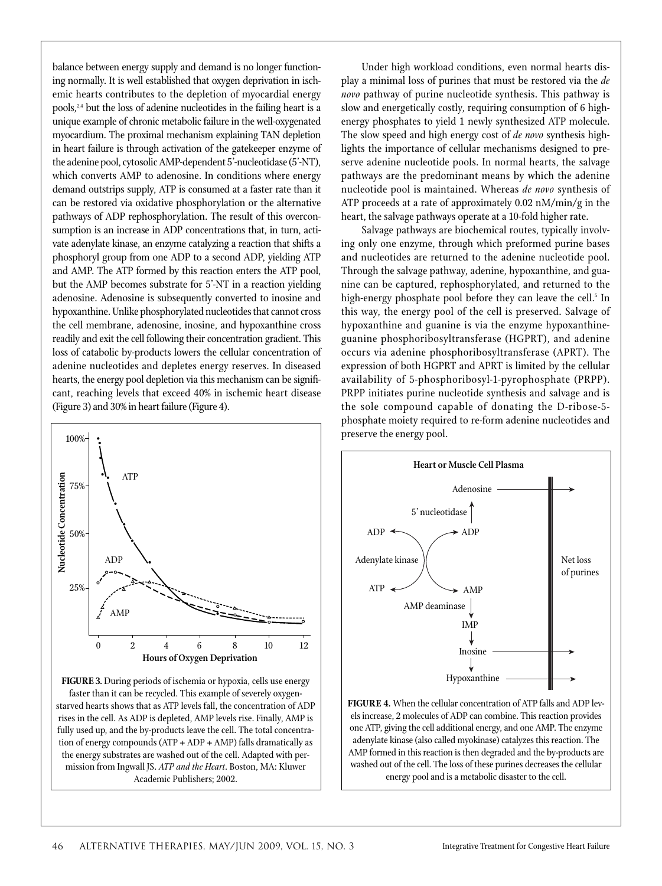balance between energy supply and demand is no longer functioning normally. It is well established that oxygen deprivation in ischemic hearts contributes to the depletion of myocardial energy pools,<sup>24</sup> but the loss of adenine nucleotides in the failing heart is a unique example of chronic metabolic failure in the well-oxygenated myocardium. The proximal mechanism explaining TAN depletion in heart failure is through activation of the gatekeeper enzyme of the adenine pool, cytosolic AMP-dependent 5'-nucleotidase (5'-NT), which converts AMP to adenosine. In conditions where energy demand outstrips supply, ATP is consumed at a faster rate than it can be restored via oxidative phosphorylation or the alternative pathways of ADP rephosphorylation. The result of this overconsumption is an increase in ADP concentrations that, in turn, activate adenylate kinase, an enzyme catalyzing a reaction that shifts a phosphoryl group from one ADP to a second ADP, yielding ATP and AMP. The ATP formed by this reaction enters the ATP pool, but the AMP becomes substrate for 5'-NT in a reaction yielding adenosine. Adenosine is subsequently converted to inosine and hypoxanthine. Unlike phosphorylated nucleotides that cannot cross the cell membrane, adenosine, inosine, and hypoxanthine cross readily and exit the cell following their concentration gradient. This loss of catabolic by-products lowers the cellular concentration of adenine nucleotides and depletes energy reserves. In diseased hearts, the energy pool depletion via this mechanism can be significant, reaching levels that exceed 40% in ischemic heart disease (Figure 3) and 30% in heart failure (Figure 4).



**FIGURE 3.** During periods of ischemia or hypoxia, cells use energy faster than it can be recycled. This example of severely oxygenstarved hearts shows that as ATP levels fall, the concentration of ADP rises in the cell. As ADP is depleted, AMP levels rise. Finally, AMP is fully used up, and the by-products leave the cell. The total concentration of energy compounds (ATP + ADP + AMP) falls dramatically as the energy substrates are washed out of the cell. Adapted with permission from Ingwall JS. *ATP and the Heart*. Boston, MA: Kluwer Academic Publishers; 2002.

Under high workload conditions, even normal hearts display a minimal loss of purines that must be restored via the *de novo* pathway of purine nucleotide synthesis. This pathway is slow and energetically costly, requiring consumption of 6 highenergy phosphates to yield 1 newly synthesized ATP molecule. The slow speed and high energy cost of *de novo* synthesis highlights the importance of cellular mechanisms designed to preserve adenine nucleotide pools. In normal hearts, the salvage pathways are the predominant means by which the adenine nucleotide pool is maintained. Whereas *de novo* synthesis of ATP proceeds at a rate of approximately 0.02 nM/min/g in the heart, the salvage pathways operate at a 10-fold higher rate.

Salvage pathways are biochemical routes, typically involving only one enzyme, through which preformed purine bases and nucleotides are returned to the adenine nucleotide pool. Through the salvage pathway, adenine, hypoxanthine, and guanine can be captured, rephosphorylated, and returned to the high-energy phosphate pool before they can leave the cell.<sup>5</sup> In this way, the energy pool of the cell is preserved. Salvage of hypoxanthine and guanine is via the enzyme hypoxanthineguanine phosphoribosyltransferase (HGPRT), and adenine occurs via adenine phosphoribosyltransferase (APRT). The expression of both HGPRT and APRT is limited by the cellular availability of 5-phosphoribosyl-1-pyrophosphate (PRPP). PRPP initiates purine nucleotide synthesis and salvage and is the sole compound capable of donating the D-ribose-5 phosphate moiety required to re-form adenine nucleotides and



**FIGURE 4.** When the cellular concentration of ATP falls and ADP levels increase, 2 molecules of ADP can combine. This reaction provides one ATP, giving the cell additional energy, and one AMP. The enzyme adenylate kinase (also called myokinase) catalyzes this reaction. The AMP formed in this reaction is then degraded and the by-products are washed out of the cell. The loss of these purines decreases the cellular energy pool and is a metabolic disaster to the cell.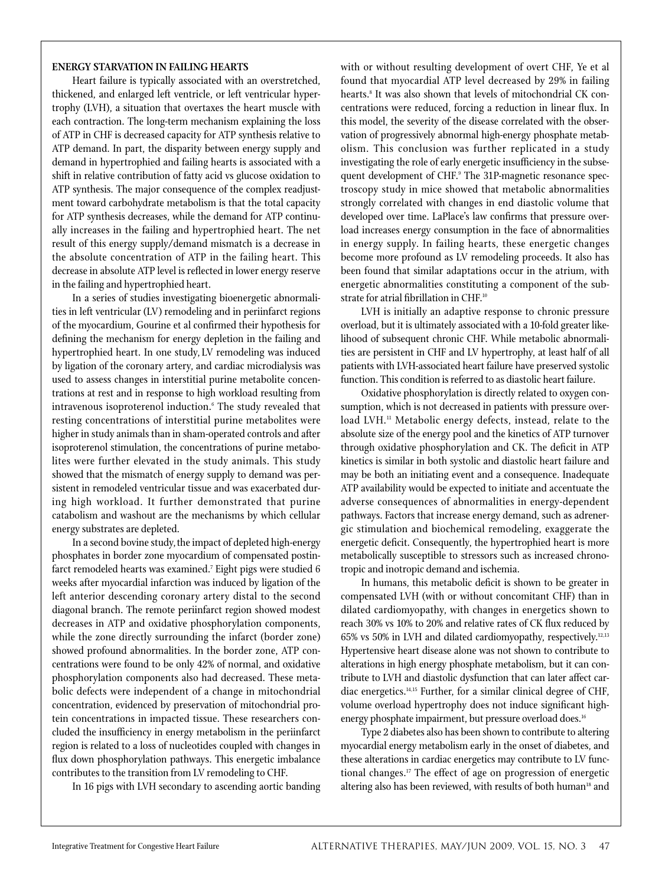## **ENERGY STARVATION IN FAILING HEARTS**

Heart failure is typically associated with an overstretched, thickened, and enlarged left ventricle, or left ventricular hypertrophy (LVH), a situation that overtaxes the heart muscle with each contraction. The long-term mechanism explaining the loss of ATP in CHF is decreased capacity for ATP synthesis relative to ATP demand. In part, the disparity between energy supply and demand in hypertrophied and failing hearts is associated with a shift in relative contribution of fatty acid vs glucose oxidation to ATP synthesis. The major consequence of the complex readjustment toward carbohydrate metabolism is that the total capacity for ATP synthesis decreases, while the demand for ATP continually increases in the failing and hypertrophied heart. The net result of this energy supply/demand mismatch is a decrease in the absolute concentration of ATP in the failing heart. This decrease in absolute ATP level is reflected in lower energy reserve in the failing and hypertrophied heart.

In a series of studies investigating bioenergetic abnormalities in left ventricular (LV) remodeling and in periinfarct regions of the myocardium, Gourine et al confirmed their hypothesis for defining the mechanism for energy depletion in the failing and hypertrophied heart. In one study, LV remodeling was induced by ligation of the coronary artery, and cardiac microdialysis was used to assess changes in interstitial purine metabolite concentrations at rest and in response to high workload resulting from intravenous isoproterenol induction.6 The study revealed that resting concentrations of interstitial purine metabolites were higher in study animals than in sham-operated controls and after isoproterenol stimulation, the concentrations of purine metabolites were further elevated in the study animals. This study showed that the mismatch of energy supply to demand was persistent in remodeled ventricular tissue and was exacerbated during high workload. It further demonstrated that purine catabolism and washout are the mechanisms by which cellular energy substrates are depleted.

In a second bovine study, the impact of depleted high-energy phosphates in border zone myocardium of compensated postinfarct remodeled hearts was examined.7 Eight pigs were studied 6 weeks after myocardial infarction was induced by ligation of the left anterior descending coronary artery distal to the second diagonal branch. The remote periinfarct region showed modest decreases in ATP and oxidative phosphorylation components, while the zone directly surrounding the infarct (border zone) showed profound abnormalities. In the border zone, ATP concentrations were found to be only 42% of normal, and oxidative phosphorylation components also had decreased. These metabolic defects were independent of a change in mitochondrial concentration, evidenced by preservation of mitochondrial protein concentrations in impacted tissue. These researchers concluded the insufficiency in energy metabolism in the periinfarct region is related to a loss of nucleotides coupled with changes in flux down phosphorylation pathways. This energetic imbalance contributes to the transition from LV remodeling to CHF.

In 16 pigs with LVH secondary to ascending aortic banding

with or without resulting development of overt CHF, Ye et al found that myocardial ATP level decreased by 29% in failing hearts.8 It was also shown that levels of mitochondrial CK concentrations were reduced, forcing a reduction in linear flux. In this model, the severity of the disease correlated with the observation of progressively abnormal high-energy phosphate metabolism. This conclusion was further replicated in a study investigating the role of early energetic insufficiency in the subsequent development of CHF.9 The 31P-magnetic resonance spectroscopy study in mice showed that metabolic abnormalities strongly correlated with changes in end diastolic volume that developed over time. LaPlace's law confirms that pressure overload increases energy consumption in the face of abnormalities in energy supply. In failing hearts, these energetic changes become more profound as LV remodeling proceeds. It also has been found that similar adaptations occur in the atrium, with energetic abnormalities constituting a component of the substrate for atrial fibrillation in CHF.<sup>10</sup>

LVH is initially an adaptive response to chronic pressure overload, but it is ultimately associated with a 10-fold greater likelihood of subsequent chronic CHF. While metabolic abnormalities are persistent in CHF and LV hypertrophy, at least half of all patients with LVH-associated heart failure have preserved systolic function. This condition is referred to as diastolic heart failure.

Oxidative phosphorylation is directly related to oxygen consumption, which is not decreased in patients with pressure overload LVH.<sup>11</sup> Metabolic energy defects, instead, relate to the absolute size of the energy pool and the kinetics of ATP turnover through oxidative phosphorylation and CK. The deficit in ATP kinetics is similar in both systolic and diastolic heart failure and may be both an initiating event and a consequence. Inadequate ATP availability would be expected to initiate and accentuate the adverse consequences of abnormalities in energy-dependent pathways. Factors that increase energy demand, such as adrenergic stimulation and biochemical remodeling, exaggerate the energetic deficit. Consequently, the hypertrophied heart is more metabolically susceptible to stressors such as increased chronotropic and inotropic demand and ischemia.

In humans, this metabolic deficit is shown to be greater in compensated LVH (with or without concomitant CHF) than in dilated cardiomyopathy, with changes in energetics shown to reach 30% vs 10% to 20% and relative rates of CK flux reduced by 65% vs 50% in LVH and dilated cardiomyopathy, respectively.12,13 Hypertensive heart disease alone was not shown to contribute to alterations in high energy phosphate metabolism, but it can contribute to LVH and diastolic dysfunction that can later affect cardiac energetics.14,15 Further, for a similar clinical degree of CHF, volume overload hypertrophy does not induce significant highenergy phosphate impairment, but pressure overload does.<sup>16</sup>

Type 2 diabetes also has been shown to contribute to altering myocardial energy metabolism early in the onset of diabetes, and these alterations in cardiac energetics may contribute to LV functional changes.<sup>17</sup> The effect of age on progression of energetic altering also has been reviewed, with results of both human<sup>18</sup> and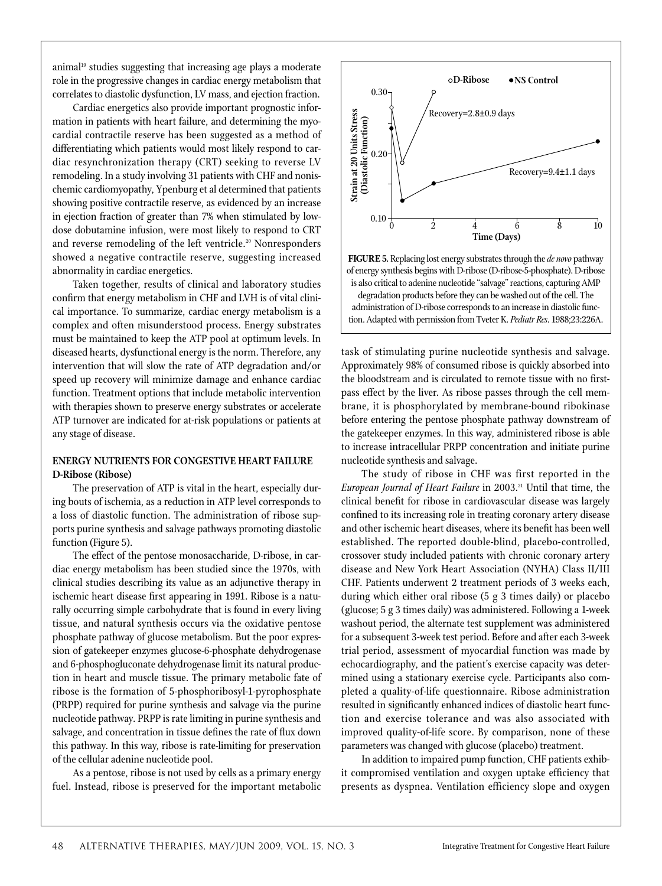animal<sup>19</sup> studies suggesting that increasing age plays a moderate role in the progressive changes in cardiac energy metabolism that correlates to diastolic dysfunction, LV mass, and ejection fraction.

Cardiac energetics also provide important prognostic information in patients with heart failure, and determining the myocardial contractile reserve has been suggested as a method of differentiating which patients would most likely respond to cardiac resynchronization therapy (CRT) seeking to reverse LV remodeling. In a study involving 31 patients with CHF and nonischemic cardiomyopathy, Ypenburg et al determined that patients showing positive contractile reserve, as evidenced by an increase in ejection fraction of greater than 7% when stimulated by lowdose dobutamine infusion, were most likely to respond to CRT and reverse remodeling of the left ventricle.<sup>20</sup> Nonresponders showed a negative contractile reserve, suggesting increased abnormality in cardiac energetics.

Taken together, results of clinical and laboratory studies confirm that energy metabolism in CHF and LVH is of vital clinical importance. To summarize, cardiac energy metabolism is a complex and often misunderstood process. Energy substrates must be maintained to keep the ATP pool at optimum levels. In diseased hearts, dysfunctional energy is the norm. Therefore, any intervention that will slow the rate of ATP degradation and/or speed up recovery will minimize damage and enhance cardiac function. Treatment options that include metabolic intervention with therapies shown to preserve energy substrates or accelerate ATP turnover are indicated for at-risk populations or patients at any stage of disease.

## **ENERGY NUTRIENTS FOR CONGESTIVE HEART FAILURE D-Ribose (Ribose)**

The preservation of ATP is vital in the heart, especially during bouts of ischemia, as a reduction in ATP level corresponds to a loss of diastolic function. The administration of ribose supports purine synthesis and salvage pathways promoting diastolic function (Figure 5).

The effect of the pentose monosaccharide, D-ribose, in cardiac energy metabolism has been studied since the 1970s, with clinical studies describing its value as an adjunctive therapy in ischemic heart disease first appearing in 1991. Ribose is a naturally occurring simple carbohydrate that is found in every living tissue, and natural synthesis occurs via the oxidative pentose phosphate pathway of glucose metabolism. But the poor expression of gatekeeper enzymes glucose-6-phosphate dehydrogenase and 6-phosphogluconate dehydrogenase limit its natural production in heart and muscle tissue. The primary metabolic fate of ribose is the formation of 5-phosphoribosyl-1-pyrophosphate (PRPP) required for purine synthesis and salvage via the purine nucleotide pathway. PRPP is rate limiting in purine synthesis and salvage, and concentration in tissue defines the rate of flux down this pathway. In this way, ribose is rate-limiting for preservation of the cellular adenine nucleotide pool.

As a pentose, ribose is not used by cells as a primary energy fuel. Instead, ribose is preserved for the important metabolic





task of stimulating purine nucleotide synthesis and salvage. Approximately 98% of consumed ribose is quickly absorbed into the bloodstream and is circulated to remote tissue with no firstpass effect by the liver. As ribose passes through the cell membrane, it is phosphorylated by membrane-bound ribokinase before entering the pentose phosphate pathway downstream of the gatekeeper enzymes. In this way, administered ribose is able to increase intracellular PRPP concentration and initiate purine nucleotide synthesis and salvage.

The study of ribose in CHF was first reported in the *European Journal of Heart Failure* in 2003.<sup>21</sup> Until that time, the clinical benefit for ribose in cardiovascular disease was largely confined to its increasing role in treating coronary artery disease and other ischemic heart diseases, where its benefit has been well established. The reported double-blind, placebo-controlled, crossover study included patients with chronic coronary artery disease and New York Heart Association (NYHA) Class II/III CHF. Patients underwent 2 treatment periods of 3 weeks each, during which either oral ribose (5 g 3 times daily) or placebo (glucose; 5 g 3 times daily) was administered. Following a 1-week washout period, the alternate test supplement was administered for a subsequent 3-week test period. Before and after each 3-week trial period, assessment of myocardial function was made by echocardiography, and the patient's exercise capacity was determined using a stationary exercise cycle. Participants also completed a quality-of-life questionnaire. Ribose administration resulted in significantly enhanced indices of diastolic heart function and exercise tolerance and was also associated with improved quality-of-life score. By comparison, none of these parameters was changed with glucose (placebo) treatment.

In addition to impaired pump function, CHF patients exhibit compromised ventilation and oxygen uptake efficiency that presents as dyspnea. Ventilation efficiency slope and oxygen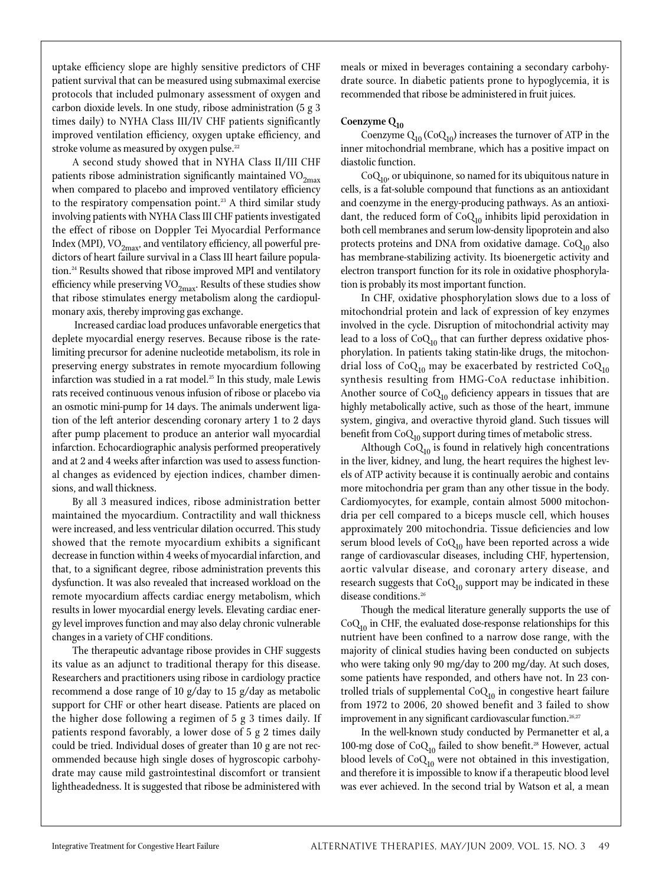uptake efficiency slope are highly sensitive predictors of CHF patient survival that can be measured using submaximal exercise protocols that included pulmonary assessment of oxygen and carbon dioxide levels. In one study, ribose administration (5 g 3 times daily) to NYHA Class III/IV CHF patients significantly improved ventilation efficiency, oxygen uptake efficiency, and stroke volume as measured by oxygen pulse.<sup>22</sup>

A second study showed that in NYHA Class II/III CHF patients ribose administration significantly maintained  $VO<sub>2max</sub>$ </sub> when compared to placebo and improved ventilatory efficiency to the respiratory compensation point.<sup>23</sup> A third similar study involving patients with NYHA Class III CHF patients investigated the effect of ribose on Doppler Tei Myocardial Performance Index (MPI),  $\mathrm{VO}_{2\mathrm{max}}$ , and ventilatory efficiency, all powerful predictors of heart failure survival in a Class III heart failure population.24 Results showed that ribose improved MPI and ventilatory efficiency while preserving  $\mathrm{VO}_{2\mathrm{max}}.$  Results of these studies show that ribose stimulates energy metabolism along the cardiopulmonary axis, thereby improving gas exchange.

 Increased cardiac load produces unfavorable energetics that deplete myocardial energy reserves. Because ribose is the ratelimiting precursor for adenine nucleotide metabolism, its role in preserving energy substrates in remote myocardium following infarction was studied in a rat model.<sup>25</sup> In this study, male Lewis rats received continuous venous infusion of ribose or placebo via an osmotic mini-pump for 14 days. The animals underwent ligation of the left anterior descending coronary artery 1 to 2 days after pump placement to produce an anterior wall myocardial infarction. Echocardiographic analysis performed preoperatively and at 2 and 4 weeks after infarction was used to assess functional changes as evidenced by ejection indices, chamber dimensions, and wall thickness.

By all 3 measured indices, ribose administration better maintained the myocardium. Contractility and wall thickness were increased, and less ventricular dilation occurred. This study showed that the remote myocardium exhibits a significant decrease in function within 4 weeks of myocardial infarction, and that, to a significant degree, ribose administration prevents this dysfunction. It was also revealed that increased workload on the remote myocardium affects cardiac energy metabolism, which results in lower myocardial energy levels. Elevating cardiac energy level improves function and may also delay chronic vulnerable changes in a variety of CHF conditions.

The therapeutic advantage ribose provides in CHF suggests its value as an adjunct to traditional therapy for this disease. Researchers and practitioners using ribose in cardiology practice recommend a dose range of 10 g/day to 15 g/day as metabolic support for CHF or other heart disease. Patients are placed on the higher dose following a regimen of 5 g 3 times daily. If patients respond favorably, a lower dose of 5 g 2 times daily could be tried. Individual doses of greater than 10 g are not recommended because high single doses of hygroscopic carbohydrate may cause mild gastrointestinal discomfort or transient lightheadedness. It is suggested that ribose be administered with

meals or mixed in beverages containing a secondary carbohydrate source. In diabetic patients prone to hypoglycemia, it is recommended that ribose be administered in fruit juices.

# Coenzyme  $Q_{10}$

Coenzyme  $Q_{10}$  (Co $Q_{10}$ ) increases the turnover of ATP in the inner mitochondrial membrane, which has a positive impact on diastolic function.

 $CoQ<sub>10</sub>$ , or ubiquinone, so named for its ubiquitous nature in cells, is a fat-soluble compound that functions as an antioxidant and coenzyme in the energy-producing pathways. As an antioxidant, the reduced form of  ${\rm CoQ}_{10}$  inhibits lipid peroxidation in both cell membranes and serum low-density lipoprotein and also protects proteins and DNA from oxidative damage.  $CoQ<sub>10</sub>$  also has membrane-stabilizing activity. Its bioenergetic activity and electron transport function for its role in oxidative phosphorylation is probably its most important function.

In CHF, oxidative phosphorylation slows due to a loss of mitochondrial protein and lack of expression of key enzymes involved in the cycle. Disruption of mitochondrial activity may lead to a loss of  ${\rm CoQ}_{10}$  that can further depress oxidative phosphorylation. In patients taking statin-like drugs, the mitochondrial loss of Co $Q_{10}$  may be exacerbated by restricted Co $Q_{10}$ synthesis resulting from HMG-CoA reductase inhibition. Another source of  $CoQ<sub>10</sub>$  deficiency appears in tissues that are highly metabolically active, such as those of the heart, immune system, gingiva, and overactive thyroid gland. Such tissues will benefit from  $CoQ_{10}$  support during times of metabolic stress.

Although  $CoQ_{10}$  is found in relatively high concentrations in the liver, kidney, and lung, the heart requires the highest levels of ATP activity because it is continually aerobic and contains more mitochondria per gram than any other tissue in the body. Cardiomyocytes, for example, contain almost 5000 mitochondria per cell compared to a biceps muscle cell, which houses approximately 200 mitochondria. Tissue deficiencies and low serum blood levels of  $CoQ_{10}$  have been reported across a wide range of cardiovascular diseases, including CHF, hypertension, aortic valvular disease, and coronary artery disease, and research suggests that  $CoQ_{10}$  support may be indicated in these disease conditions.<sup>26</sup>

Though the medical literature generally supports the use of  $CoQ<sub>10</sub>$  in CHF, the evaluated dose-response relationships for this nutrient have been confined to a narrow dose range, with the majority of clinical studies having been conducted on subjects who were taking only 90 mg/day to 200 mg/day. At such doses, some patients have responded, and others have not. In 23 controlled trials of supplemental  $CoQ_{10}$  in congestive heart failure from 1972 to 2006, 20 showed benefit and 3 failed to show improvement in any significant cardiovascular function.<sup>26,27</sup>

In the well-known study conducted by Permanetter et al, a 100-mg dose of  $CoQ_{10}$  failed to show benefit.<sup>28</sup> However, actual blood levels of  $CoQ_{10}$  were not obtained in this investigation, and therefore it is impossible to know if a therapeutic blood level was ever achieved. In the second trial by Watson et al, a mean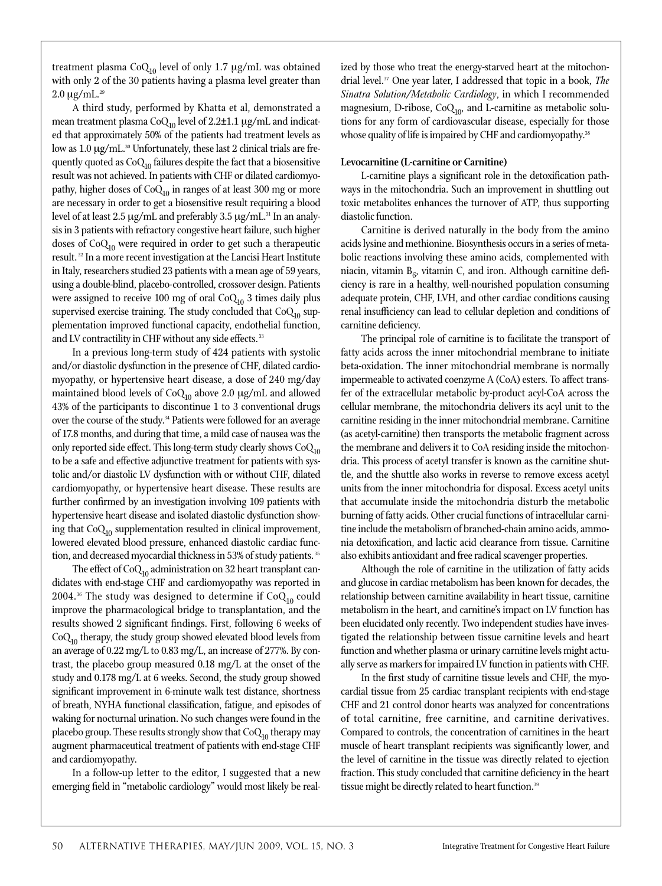treatment plasma CoQ<sub>10</sub> level of only 1.7 μg/mL was obtained with only 2 of the 30 patients having a plasma level greater than  $2.0 \mu g/mL^{29}$ 

A third study, performed by Khatta et al, demonstrated a mean treatment plasma  $CoQ_{10}$  level of 2.2±1.1 µg/mL and indicated that approximately 50% of the patients had treatment levels as low as 1.0 μg/mL.<sup>30</sup> Unfortunately, these last 2 clinical trials are frequently quoted as  $CoQ_{10}$  failures despite the fact that a biosensitive result was not achieved. In patients with CHF or dilated cardiomyopathy, higher doses of  $CoQ_{10}$  in ranges of at least 300 mg or more are necessary in order to get a biosensitive result requiring a blood level of at least 2.5 μg/mL and preferably 3.5 μg/mL.<sup>31</sup> In an analysis in 3 patients with refractory congestive heart failure, such higher doses of  $CoQ_{10}$  were required in order to get such a therapeutic result. 32 In a more recent investigation at the Lancisi Heart Institute in Italy, researchers studied 23 patients with a mean age of 59 years, using a double-blind, placebo-controlled, crossover design. Patients were assigned to receive 100 mg of oral  $CoQ_{10}$  3 times daily plus supervised exercise training. The study concluded that  $CoQ_{10}$  supplementation improved functional capacity, endothelial function, and LV contractility in CHF without any side effects.<sup>33</sup>

In a previous long-term study of 424 patients with systolic and/or diastolic dysfunction in the presence of CHF, dilated cardiomyopathy, or hypertensive heart disease, a dose of 240 mg/day maintained blood levels of  $CoQ<sub>10</sub>$  above 2.0  $\mu$ g/mL and allowed 43% of the participants to discontinue 1 to 3 conventional drugs over the course of the study.<sup>34</sup> Patients were followed for an average of 17.8 months, and during that time, a mild case of nausea was the only reported side effect. This long-term study clearly shows  $CoQ_{10}$ to be a safe and effective adjunctive treatment for patients with systolic and/or diastolic LV dysfunction with or without CHF, dilated cardiomyopathy, or hypertensive heart disease. These results are further confirmed by an investigation involving 109 patients with hypertensive heart disease and isolated diastolic dysfunction showing that  $CoQ_{10}$  supplementation resulted in clinical improvement, lowered elevated blood pressure, enhanced diastolic cardiac function, and decreased myocardial thickness in 53% of study patients. 35

The effect of  $CoQ_{10}$  administration on 32 heart transplant candidates with end-stage CHF and cardiomyopathy was reported in 2004.<sup>36</sup> The study was designed to determine if  $CoQ_{10}$  could improve the pharmacological bridge to transplantation, and the results showed 2 significant findings. First, following 6 weeks of  $CoQ<sub>10</sub>$  therapy, the study group showed elevated blood levels from an average of 0.22 mg/L to 0.83 mg/L, an increase of 277%. By contrast, the placebo group measured 0.18 mg/L at the onset of the study and 0.178 mg/L at 6 weeks. Second, the study group showed significant improvement in 6-minute walk test distance, shortness of breath, NYHA functional classification, fatigue, and episodes of waking for nocturnal urination. No such changes were found in the placebo group. These results strongly show that  $CoQ_{10}$  therapy may augment pharmaceutical treatment of patients with end-stage CHF and cardiomyopathy.

In a follow-up letter to the editor, I suggested that a new emerging field in "metabolic cardiology" would most likely be realized by those who treat the energy-starved heart at the mitochondrial level.37 One year later, I addressed that topic in a book, *The Sinatra Solution/Metabolic Cardiology*, in which I recommended magnesium, D-ribose,  $CoQ_{10}$ , and L-carnitine as metabolic solutions for any form of cardiovascular disease, especially for those whose quality of life is impaired by CHF and cardiomyopathy.<sup>38</sup>

### **Levocarnitine (L-carnitine or Carnitine)**

L-carnitine plays a significant role in the detoxification pathways in the mitochondria. Such an improvement in shuttling out toxic metabolites enhances the turnover of ATP, thus supporting diastolic function.

Carnitine is derived naturally in the body from the amino acids lysine and methionine. Biosynthesis occurs in a series of metabolic reactions involving these amino acids, complemented with niacin, vitamin  $B_6$ , vitamin C, and iron. Although carnitine deficiency is rare in a healthy, well-nourished population consuming adequate protein, CHF, LVH, and other cardiac conditions causing renal insufficiency can lead to cellular depletion and conditions of carnitine deficiency.

The principal role of carnitine is to facilitate the transport of fatty acids across the inner mitochondrial membrane to initiate beta-oxidation. The inner mitochondrial membrane is normally impermeable to activated coenzyme A (CoA) esters. To affect transfer of the extracellular metabolic by-product acyl-CoA across the cellular membrane, the mitochondria delivers its acyl unit to the carnitine residing in the inner mitochondrial membrane. Carnitine (as acetyl-carnitine) then transports the metabolic fragment across the membrane and delivers it to CoA residing inside the mitochondria. This process of acetyl transfer is known as the carnitine shuttle, and the shuttle also works in reverse to remove excess acetyl units from the inner mitochondria for disposal. Excess acetyl units that accumulate inside the mitochondria disturb the metabolic burning of fatty acids. Other crucial functions of intracellular carnitine include the metabolism of branched-chain amino acids, ammonia detoxification, and lactic acid clearance from tissue. Carnitine also exhibits antioxidant and free radical scavenger properties.

Although the role of carnitine in the utilization of fatty acids and glucose in cardiac metabolism has been known for decades, the relationship between carnitine availability in heart tissue, carnitine metabolism in the heart, and carnitine's impact on LV function has been elucidated only recently. Two independent studies have investigated the relationship between tissue carnitine levels and heart function and whether plasma or urinary carnitine levels might actually serve as markers for impaired LV function in patients with CHF.

In the first study of carnitine tissue levels and CHF, the myocardial tissue from 25 cardiac transplant recipients with end-stage CHF and 21 control donor hearts was analyzed for concentrations of total carnitine, free carnitine, and carnitine derivatives. Compared to controls, the concentration of carnitines in the heart muscle of heart transplant recipients was significantly lower, and the level of carnitine in the tissue was directly related to ejection fraction. This study concluded that carnitine deficiency in the heart tissue might be directly related to heart function.<sup>39</sup>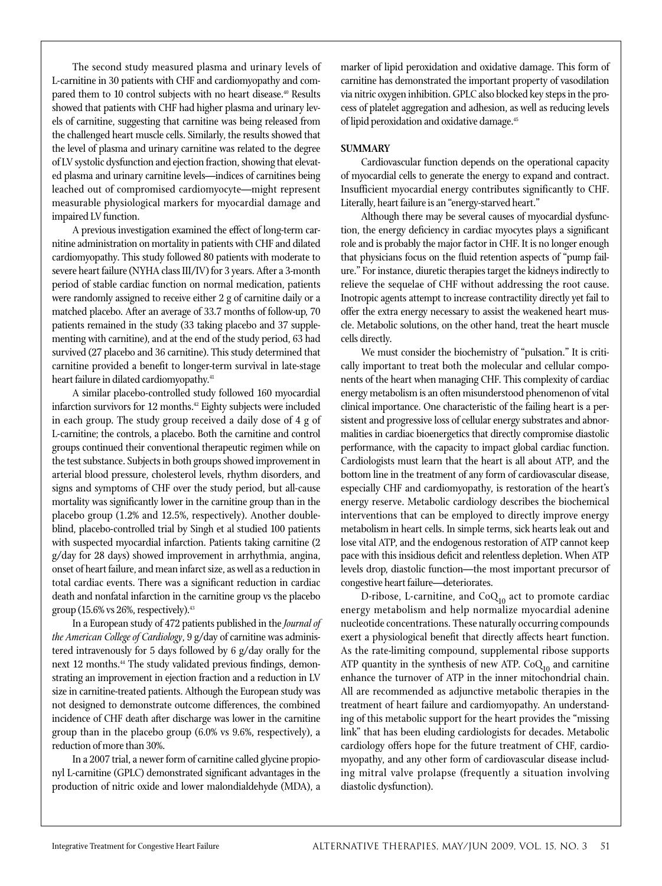The second study measured plasma and urinary levels of L-carnitine in 30 patients with CHF and cardiomyopathy and compared them to 10 control subjects with no heart disease.<sup>40</sup> Results showed that patients with CHF had higher plasma and urinary levels of carnitine, suggesting that carnitine was being released from the challenged heart muscle cells. Similarly, the results showed that the level of plasma and urinary carnitine was related to the degree of LV systolic dysfunction and ejection fraction, showing that elevated plasma and urinary carnitine levels—indices of carnitines being leached out of compromised cardiomyocyte—might represent measurable physiological markers for myocardial damage and impaired LV function.

A previous investigation examined the effect of long-term carnitine administration on mortality in patients with CHF and dilated cardiomyopathy. This study followed 80 patients with moderate to severe heart failure (NYHA class III/IV) for 3 years. After a 3-month period of stable cardiac function on normal medication, patients were randomly assigned to receive either 2 g of carnitine daily or a matched placebo. After an average of 33.7 months of follow-up, 70 patients remained in the study (33 taking placebo and 37 supplementing with carnitine), and at the end of the study period, 63 had survived (27 placebo and 36 carnitine). This study determined that carnitine provided a benefit to longer-term survival in late-stage heart failure in dilated cardiomyopathy.<sup>41</sup>

A similar placebo-controlled study followed 160 myocardial infarction survivors for 12 months.<sup>42</sup> Eighty subjects were included in each group. The study group received a daily dose of 4 g of L-carnitine; the controls, a placebo. Both the carnitine and control groups continued their conventional therapeutic regimen while on the test substance. Subjects in both groups showed improvement in arterial blood pressure, cholesterol levels, rhythm disorders, and signs and symptoms of CHF over the study period, but all-cause mortality was significantly lower in the carnitine group than in the placebo group (1.2% and 12.5%, respectively). Another doubleblind, placebo-controlled trial by Singh et al studied 100 patients with suspected myocardial infarction. Patients taking carnitine (2 g/day for 28 days) showed improvement in arrhythmia, angina, onset of heart failure, and mean infarct size, as well as a reduction in total cardiac events. There was a significant reduction in cardiac death and nonfatal infarction in the carnitine group vs the placebo group  $(15.6\% \text{ vs } 26\% ,$  respectively).<sup>43</sup>

In a European study of 472 patients published in the *Journal of the American College of Cardiology*, 9 g/day of carnitine was administered intravenously for 5 days followed by 6 g/day orally for the next 12 months.<sup>44</sup> The study validated previous findings, demonstrating an improvement in ejection fraction and a reduction in LV size in carnitine-treated patients. Although the European study was not designed to demonstrate outcome differences, the combined incidence of CHF death after discharge was lower in the carnitine group than in the placebo group (6.0% vs 9.6%, respectively), a reduction of more than 30%.

In a 2007 trial, a newer form of carnitine called glycine propionyl L-carnitine (GPLC) demonstrated significant advantages in the production of nitric oxide and lower malondialdehyde (MDA), a marker of lipid peroxidation and oxidative damage. This form of carnitine has demonstrated the important property of vasodilation via nitric oxygen inhibition. GPLC also blocked key steps in the process of platelet aggregation and adhesion, as well as reducing levels of lipid peroxidation and oxidative damage.<sup>45</sup>

# **SUMMARY**

Cardiovascular function depends on the operational capacity of myocardial cells to generate the energy to expand and contract. Insufficient myocardial energy contributes significantly to CHF. Literally, heart failure is an "energy-starved heart."

Although there may be several causes of myocardial dysfunction, the energy deficiency in cardiac myocytes plays a significant role and is probably the major factor in CHF. It is no longer enough that physicians focus on the fluid retention aspects of "pump failure." For instance, diuretic therapies target the kidneys indirectly to relieve the sequelae of CHF without addressing the root cause. Inotropic agents attempt to increase contractility directly yet fail to offer the extra energy necessary to assist the weakened heart muscle. Metabolic solutions, on the other hand, treat the heart muscle cells directly.

We must consider the biochemistry of "pulsation." It is critically important to treat both the molecular and cellular components of the heart when managing CHF. This complexity of cardiac energy metabolism is an often misunderstood phenomenon of vital clinical importance. One characteristic of the failing heart is a persistent and progressive loss of cellular energy substrates and abnormalities in cardiac bioenergetics that directly compromise diastolic performance, with the capacity to impact global cardiac function. Cardiologists must learn that the heart is all about ATP, and the bottom line in the treatment of any form of cardiovascular disease, especially CHF and cardiomyopathy, is restoration of the heart's energy reserve. Metabolic cardiology describes the biochemical interventions that can be employed to directly improve energy metabolism in heart cells. In simple terms, sick hearts leak out and lose vital ATP, and the endogenous restoration of ATP cannot keep pace with this insidious deficit and relentless depletion. When ATP levels drop, diastolic function—the most important precursor of congestive heart failure—deteriorates.

D-ribose, L-carnitine, and CoQ<sub>10</sub> act to promote cardiac energy metabolism and help normalize myocardial adenine nucleotide concentrations. These naturally occurring compounds exert a physiological benefit that directly affects heart function. As the rate-limiting compound, supplemental ribose supports ATP quantity in the synthesis of new ATP.  $CoQ_{10}$  and carnitine enhance the turnover of ATP in the inner mitochondrial chain. All are recommended as adjunctive metabolic therapies in the treatment of heart failure and cardiomyopathy. An understanding of this metabolic support for the heart provides the "missing link" that has been eluding cardiologists for decades. Metabolic cardiology offers hope for the future treatment of CHF, cardiomyopathy, and any other form of cardiovascular disease including mitral valve prolapse (frequently a situation involving diastolic dysfunction).